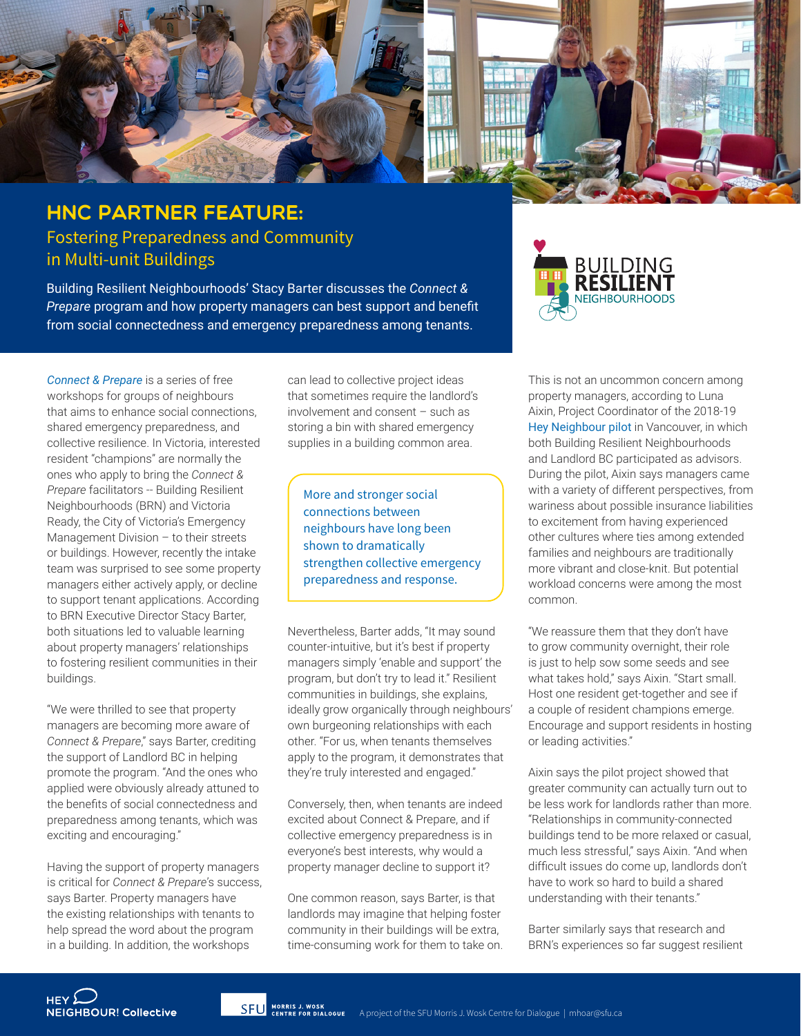

## HNC Partner Feature: Fostering Preparedness and Community in Multi-unit Buildings

Building Resilient Neighbourhoods' Stacy Barter discusses the *Connect & Prepare* program and how property managers can best support and benefit from social connectedness and emergency preparedness among tenants.

*[Connect & Prepare](http://resilientneighbourhoods.ca/connect-prepare)* is a series of free workshops for groups of neighbours that aims to enhance social connections, shared emergency preparedness, and collective resilience. In Victoria, interested resident "champions" are normally the ones who apply to bring the *Connect & Prepare* facilitators -- Building Resilient Neighbourhoods (BRN) and Victoria Ready, the City of Victoria's Emergency Management Division – to their streets or buildings. However, recently the intake team was surprised to see some property managers either actively apply, or decline to support tenant applications. According to BRN Executive Director Stacy Barter, both situations led to valuable learning about property managers' relationships to fostering resilient communities in their buildings.

"We were thrilled to see that property managers are becoming more aware of *Connect & Prepare*," says Barter, crediting the support of Landlord BC in helping promote the program. "And the ones who applied were obviously already attuned to the benefits of social connectedness and preparedness among tenants, which was exciting and encouraging."

Having the support of property managers is critical for *Connect & Prepare*'s success, says Barter. Property managers have the existing relationships with tenants to help spread the word about the program in a building. In addition, the workshops

can lead to collective project ideas that sometimes require the landlord's involvement and consent – such as storing a bin with shared emergency supplies in a building common area.

More and stronger social connections between neighbours have long been shown to dramatically strengthen collective emergency preparedness and response.

Nevertheless, Barter adds, "It may sound counter-intuitive, but it's best if property managers simply 'enable and support' the program, but don't try to lead it." Resilient communities in buildings, she explains, ideally grow organically through neighbours' own burgeoning relationships with each other. "For us, when tenants themselves apply to the program, it demonstrates that they're truly interested and engaged."

Conversely, then, when tenants are indeed excited about Connect & Prepare, and if collective emergency preparedness is in everyone's best interests, why would a property manager decline to support it?

One common reason, says Barter, is that landlords may imagine that helping foster community in their buildings will be extra, time-consuming work for them to take on.



This is not an uncommon concern among property managers, according to Luna Aixin, Project Coordinator of the 2018-19 [Hey Neighbour pilot](https://vancouver.ca/people-programs/hey-neighbour.aspx) in Vancouver, in which both Building Resilient Neighbourhoods and Landlord BC participated as advisors. During the pilot, Aixin says managers came with a variety of different perspectives, from wariness about possible insurance liabilities to excitement from having experienced other cultures where ties among extended families and neighbours are traditionally more vibrant and close-knit. But potential workload concerns were among the most common.

"We reassure them that they don't have to grow community overnight, their role is just to help sow some seeds and see what takes hold," says Aixin. "Start small. Host one resident get-together and see if a couple of resident champions emerge. Encourage and support residents in hosting or leading activities."

Aixin says the pilot project showed that greater community can actually turn out to be less work for landlords rather than more. "Relationships in community-connected buildings tend to be more relaxed or casual, much less stressful," says Aixin. "And when difficult issues do come up, landlords don't have to work so hard to build a shared understanding with their tenants."

Barter similarly says that research and BRN's experiences so far suggest resilient